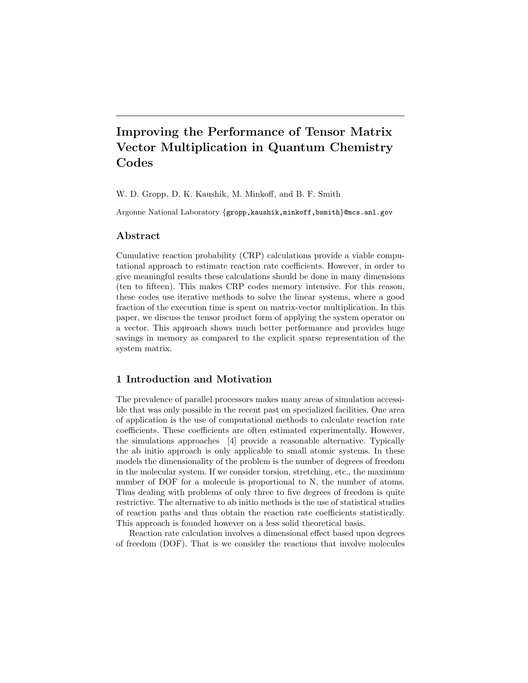# Improving the Performance of Tensor Matrix Vector Multiplication in Quantum Chemistry Codes

W. D. Gropp, D. K. Kaushik, M. Minkoff, and B. F. Smith

Argonne National Laboratory {gropp, kaushik, minkoff, bsmith}@mcs.anl.gov

## Abstract

Cumulative reaction probability (CRP) calculations provide a viable computational approach to estimate reaction rate coefficients. However, in order to give meaningful results these calculations should be done in many dimensions (ten to fifteen). This makes CRP codes memory intensive. For this reason, these codes use iterative methods to solve the linear systems, where a good fraction of the execution time is spent on matrix-vector multiplication. In this paper, we discuss the tensor product form of applying the system operator on a vector. This approach shows much better performance and provides huge savings in memory as compared to the explicit sparse representation of the system matrix.

# 1 Introduction and Motivation

The prevalence of parallel processors makes many areas of simulation accessible that was only possible in the recent past on specialized facilities. One area of application is the use of computational methods to calculate reaction rate coefficients. These coefficients are often estimated experimentally. However, the simulations approaches [4] provide a reasonable alternative. Typically the ab initio approach is only applicable to small atomic systems. In these models the dimensionality of the problem is the number of degrees of freedom in the molecular system. If we consider torsion, stretching, etc., the maximum number of DOF for a molecule is proportional to N, the number of atoms. Thus dealing with problems of only three to five degrees of freedom is quite restrictive. The alternative to ab initio methods is the use of statistical studies of reaction paths and thus obtain the reaction rate coefficients statistically. This approach is founded however on a less solid theoretical basis.

Reaction rate calculation involves a dimensional effect based upon degrees of freedom (DOF). That is we consider the reactions that involve molecules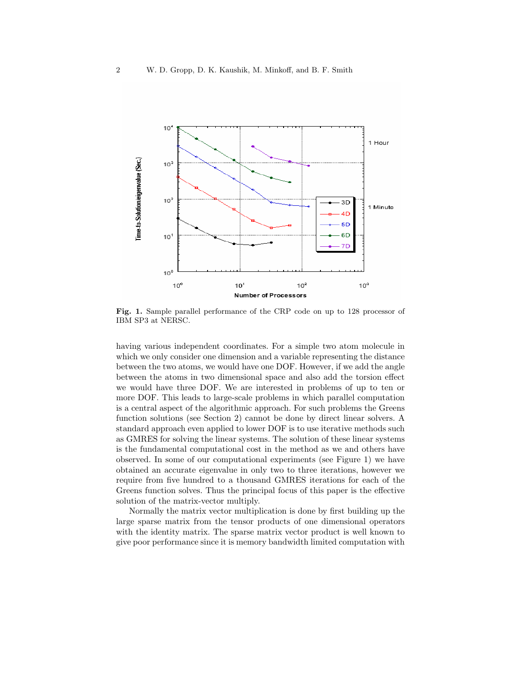

Fig. 1. Sample parallel performance of the CRP code on up to 128 processor of IBM SP3 at NERSC.

having various independent coordinates. For a simple two atom molecule in which we only consider one dimension and a variable representing the distance between the two atoms, we would have one DOF. However, if we add the angle between the atoms in two dimensional space and also add the torsion effect we would have three DOF. We are interested in problems of up to ten or more DOF. This leads to large-scale problems in which parallel computation is a central aspect of the algorithmic approach. For such problems the Greens function solutions (see Section 2) cannot be done by direct linear solvers. A standard approach even applied to lower DOF is to use iterative methods such as GMRES for solving the linear systems. The solution of these linear systems is the fundamental computational cost in the method as we and others have observed. In some of our computational experiments (see Figure 1) we have obtained an accurate eigenvalue in only two to three iterations, however we require from five hundred to a thousand GMRES iterations for each of the Greens function solves. Thus the principal focus of this paper is the effective solution of the matrix-vector multiply.

Normally the matrix vector multiplication is done by first building up the large sparse matrix from the tensor products of one dimensional operators with the identity matrix. The sparse matrix vector product is well known to give poor performance since it is memory bandwidth limited computation with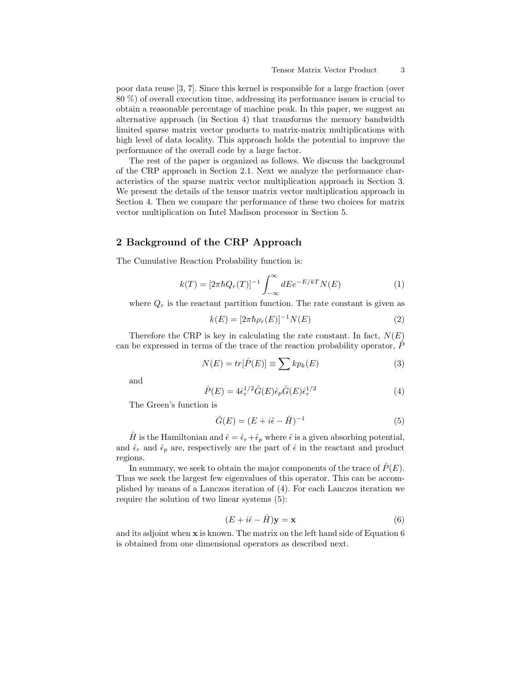poor data reuse [3, 7]. Since this kernel is responsible for a large fraction (over 80 %) of overall execution time, addressing its performance issues is crucial to obtain a reasonable percentage of machine peak. In this paper, we suggest an alternative approach (in Section 4) that transforms the memory bandwidth limited sparse matrix vector products to matrix-matrix multiplications with high level of data locality. This approach holds the potential to improve the performance of the overall code by a large factor.

The rest of the paper is organized as follows. We discuss the background of the CRP approach in Section 2.1. Next we analyze the performance characteristics of the sparse matrix vector multiplication approach in Section 3. We present the details of the tensor matrix vector multiplication approach in Section 4. Then we compare the performance of these two choices for matrix vector multiplication on Intel Madison processor in Section 5.

# 2 Background of the CRP Approach

The Cumulative Reaction Probability function is:

$$
k(T) = [2\pi\hbar Q_r(T)]^{-1} \int_{-\infty}^{\infty} dE e^{-E/kT} N(E)
$$
 (1)

where  $Q_r$  is the reactant partition function. The rate constant is given as

$$
k(E) = [2\pi \hbar \rho_r(E)]^{-1} N(E)
$$
 (2)

Therefore the CRP is key in calculating the rate constant. In fact,  $N(E)$ can be expressed in terms of the trace of the reaction probability operator,  $\hat{P}$ 

$$
N(E) = tr[\hat{P}(E)] \equiv \sum k p_k(E)
$$
\n(3)

and

$$
\hat{P}(E) = 4\hat{\epsilon}_r^{1/2} \hat{G}(E) \hat{\epsilon}_p \hat{G}(E) \hat{\epsilon}_r^{1/2}
$$
\n(4)

The Green's function is

$$
\hat{G}(E) = (E + i\hat{\epsilon} - \hat{H})^{-1}
$$
\n(5)

 $\hat{H}$  is the Hamiltonian and  $\hat{\epsilon} = \hat{\epsilon}_r + \hat{\epsilon}_p$  where  $\hat{\epsilon}$  is a given absorbing potential, and  $\hat{\epsilon}_r$  and  $\hat{\epsilon}_p$  are, respectively are the part of  $\hat{\epsilon}$  in the reactant and product regions.

In summary, we seek to obtain the major components of the trace of  $\hat{P}(E)$ . Thus we seek the largest few eigenvalues of this operator. This can be accomplished by means of a Lanczos iteration of (4). For each Lanczos iteration we require the solution of two linear systems (5):

$$
(E + i\hat{\epsilon} - \hat{H})\mathbf{y} = \mathbf{x} \tag{6}
$$

and its adjoint when x is known. The matrix on the left hand side of Equation 6 is obtained from one dimensional operators as described next.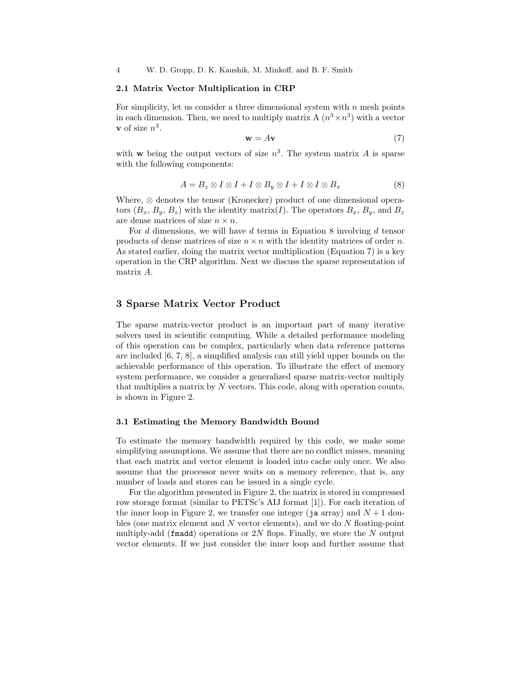4 W. D. Gropp, D. K. Kaushik, M. Minkoff, and B. F. Smith

#### 2.1 Matrix Vector Multiplication in CRP

For simplicity, let us consider a three dimensional system with  $n$  mesh points in each dimension. Then, we need to multiply matrix A  $(n^3 \times n^3)$  with a vector **v** of size  $n^3$ .

$$
\mathbf{w} = A\mathbf{v} \tag{7}
$$

with **w** being the output vectors of size  $n^3$ . The system matrix A is sparse with the following components:

$$
A = B_z \otimes I \otimes I + I \otimes B_y \otimes I + I \otimes I \otimes B_x \tag{8}
$$

Where, ⊗ denotes the tensor (Kronecker) product of one dimensional operators  $(B_x, B_y, B_z)$  with the identity matrix(*I*). The operators  $B_x, B_y$ , and  $B_z$ are dense matrices of size  $n \times n$ .

For d dimensions, we will have d terms in Equation 8 involving d tensor products of dense matrices of size  $n \times n$  with the identity matrices of order n. As stated earlier, doing the matrix vector multiplication (Equation 7) is a key operation in the CRP algorithm. Next we discuss the sparse representation of matrix A.

# 3 Sparse Matrix Vector Product

The sparse matrix-vector product is an important part of many iterative solvers used in scientific computing. While a detailed performance modeling of this operation can be complex, particularly when data reference patterns are included [6, 7, 8], a simplified analysis can still yield upper bounds on the achievable performance of this operation. To illustrate the effect of memory system performance, we consider a generalized sparse matrix-vector multiply that multiplies a matrix by  $N$  vectors. This code, along with operation counts, is shown in Figure 2.

#### 3.1 Estimating the Memory Bandwidth Bound

To estimate the memory bandwidth required by this code, we make some simplifying assumptions. We assume that there are no conflict misses, meaning that each matrix and vector element is loaded into cache only once. We also assume that the processor never waits on a memory reference, that is, any number of loads and stores can be issued in a single cycle.

For the algorithm presented in Figure 2, the matrix is stored in compressed row storage format (similar to PETSc's AIJ format [1]). For each iteration of the inner loop in Figure 2, we transfer one integer (ja array) and  $N+1$  doubles (one matrix element and  $N$  vector elements), and we do  $N$  floating-point multiply-add (fmadd) operations or  $2N$  flops. Finally, we store the N output vector elements. If we just consider the inner loop and further assume that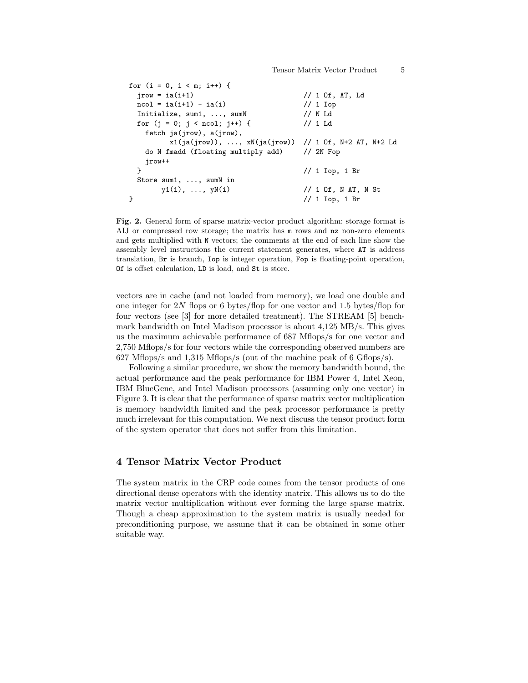```
for (i = 0, i < m; i++) {
 jrow = ia(i+1) // 1 Of, AT, Ld
 ncol = ia(i+1) - ia(i) // 1 Iop
 Initialize, sum1, ..., sumN // N Ld
 for (j = 0; j < ncol; j++) { // 1 Ld
  fetch ja(jrow), a(jrow),
       x1(ja(jrow)), ..., xN(ja(jrow)) // 1 Of, N+2 AT, N+2 Ld
  do N fmadd (floating multiply add) // 2N Fop
  jrow++
 } // 1 Iop, 1 Br
 Store sum1, ..., sumN in
     y1(i), ..., yN(i) // 1 Of, N AT, N St
} // 1 Iop, 1 Br
```
Fig. 2. General form of sparse matrix-vector product algorithm: storage format is AIJ or compressed row storage; the matrix has  $m$  rows and nz non-zero elements and gets multiplied with N vectors; the comments at the end of each line show the assembly level instructions the current statement generates, where AT is address translation, Br is branch, Iop is integer operation, Fop is floating-point operation, Of is offset calculation, LD is load, and St is store.

vectors are in cache (and not loaded from memory), we load one double and one integer for 2N flops or 6 bytes/flop for one vector and 1.5 bytes/flop for four vectors (see [3] for more detailed treatment). The STREAM [5] benchmark bandwidth on Intel Madison processor is about 4,125 MB/s. This gives us the maximum achievable performance of 687 Mflops/s for one vector and 2,750 Mflops/s for four vectors while the corresponding observed numbers are 627 Mflops/s and 1,315 Mflops/s (out of the machine peak of 6 Gflops/s).

Following a similar procedure, we show the memory bandwidth bound, the actual performance and the peak performance for IBM Power 4, Intel Xeon, IBM BlueGene, and Intel Madison processors (assuming only one vector) in Figure 3. It is clear that the performance of sparse matrix vector multiplication is memory bandwidth limited and the peak processor performance is pretty much irrelevant for this computation. We next discuss the tensor product form of the system operator that does not suffer from this limitation.

# 4 Tensor Matrix Vector Product

The system matrix in the CRP code comes from the tensor products of one directional dense operators with the identity matrix. This allows us to do the matrix vector multiplication without ever forming the large sparse matrix. Though a cheap approximation to the system matrix is usually needed for preconditioning purpose, we assume that it can be obtained in some other suitable way.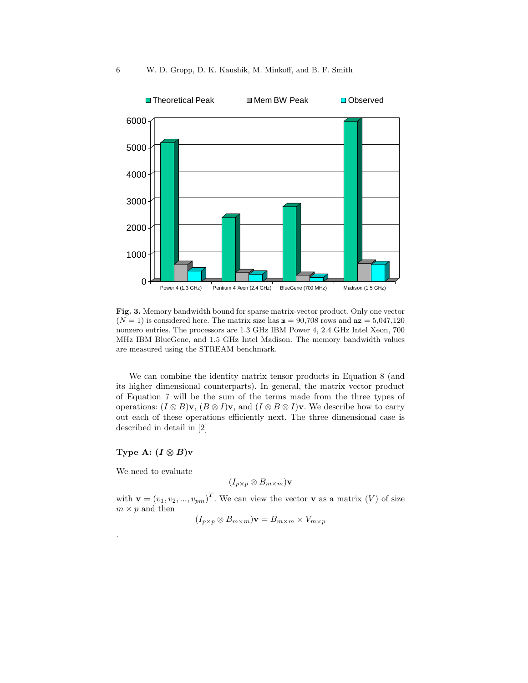

Fig. 3. Memory bandwidth bound for sparse matrix-vector product. Only one vector  $(N = 1)$  is considered here. The matrix size has  $m = 90,708$  rows and  $nz = 5,047,120$ nonzero entries. The processors are 1.3 GHz IBM Power 4, 2.4 GHz Intel Xeon, 700 MHz IBM BlueGene, and 1.5 GHz Intel Madison. The memory bandwidth values are measured using the STREAM benchmark.

We can combine the identity matrix tensor products in Equation 8 (and its higher dimensional counterparts). In general, the matrix vector product of Equation 7 will be the sum of the terms made from the three types of operations:  $(I \otimes B)\mathbf{v}$ ,  $(B \otimes I)\mathbf{v}$ , and  $(I \otimes B \otimes I)\mathbf{v}$ . We describe how to carry out each of these operations efficiently next. The three dimensional case is described in detail in [2]

#### Type A:  $(I \otimes B)v$

We need to evaluate

.

$$
(I_{p\times p}\otimes B_{m\times m})\mathbf{v}
$$

with  $\mathbf{v} = (v_1, v_2, ..., v_{pm})^T$ . We can view the vector **v** as a matrix (V) of size  $m \times p$  and then

$$
(I_{p\times p}\otimes B_{m\times m})\mathbf{v}=B_{m\times m}\times V_{m\times p}
$$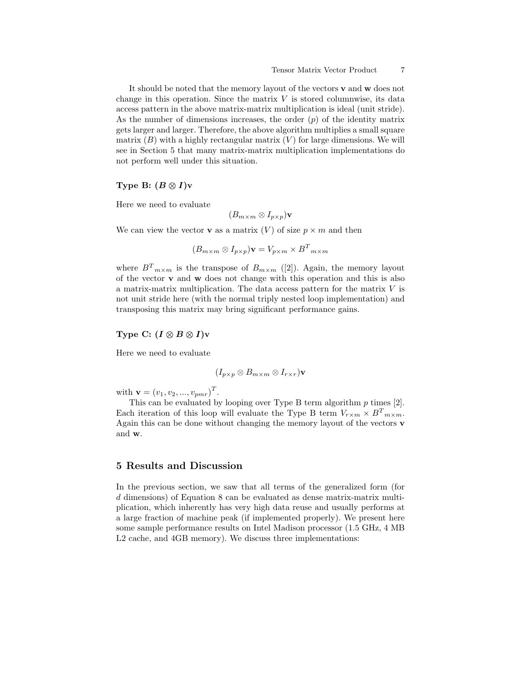It should be noted that the memory layout of the vectors v and w does not change in this operation. Since the matrix  $V$  is stored columnwise, its data access pattern in the above matrix-matrix multiplication is ideal (unit stride). As the number of dimensions increases, the order  $(p)$  of the identity matrix gets larger and larger. Therefore, the above algorithm multiplies a small square matrix  $(B)$  with a highly rectangular matrix  $(V)$  for large dimensions. We will see in Section 5 that many matrix-matrix multiplication implementations do not perform well under this situation.

# Type B:  $(B \otimes I)v$

Here we need to evaluate

$$
(B_{m\times m}\otimes I_{p\times p})\mathbf{v}
$$

We can view the vector **v** as a matrix  $(V)$  of size  $p \times m$  and then

$$
(B_{m \times m} \otimes I_{p \times p})\mathbf{v} = V_{p \times m} \times B^{T}{}_{m \times m}
$$

where  $B_{m\times m}$  is the transpose of  $B_{m\times m}$  ([2]). Again, the memory layout of the vector  $\bf{v}$  and  $\bf{w}$  does not change with this operation and this is also a matrix-matrix multiplication. The data access pattern for the matrix V is not unit stride here (with the normal triply nested loop implementation) and transposing this matrix may bring significant performance gains.

#### Type C:  $(I \otimes B \otimes I)$ v

Here we need to evaluate

$$
(I_{p\times p}\otimes B_{m\times m}\otimes I_{r\times r})\mathbf{v}
$$

with  $\mathbf{v} = (v_1, v_2, ..., v_{pmr})^T$ .

This can be evaluated by looping over Type B term algorithm  $p$  times [2]. Each iteration of this loop will evaluate the Type B term  $V_{r \times m} \times B^{T}{}_{m \times m}$ . Again this can be done without changing the memory layout of the vectors v and w.

#### 5 Results and Discussion

In the previous section, we saw that all terms of the generalized form (for d dimensions) of Equation 8 can be evaluated as dense matrix-matrix multiplication, which inherently has very high data reuse and usually performs at a large fraction of machine peak (if implemented properly). We present here some sample performance results on Intel Madison processor (1.5 GHz, 4 MB L2 cache, and 4GB memory). We discuss three implementations: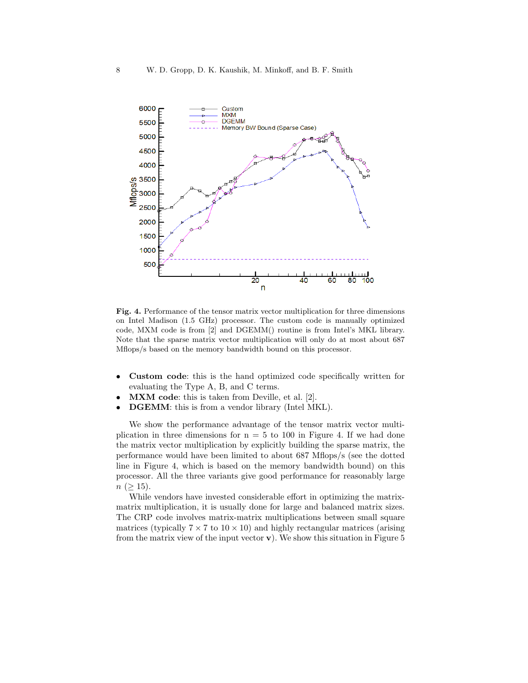

Fig. 4. Performance of the tensor matrix vector multiplication for three dimensions on Intel Madison (1.5 GHz) processor. The custom code is manually optimized code, MXM code is from [2] and DGEMM() routine is from Intel's MKL library. Note that the sparse matrix vector multiplication will only do at most about 687 Mflops/s based on the memory bandwidth bound on this processor.

- Custom code: this is the hand optimized code specifically written for evaluating the Type A, B, and C terms.
- **MXM** code: this is taken from Deville, et al. [2].
- DGEMM: this is from a vendor library (Intel MKL).

We show the performance advantage of the tensor matrix vector multiplication in three dimensions for  $n = 5$  to 100 in Figure 4. If we had done the matrix vector multiplication by explicitly building the sparse matrix, the performance would have been limited to about 687 Mflops/s (see the dotted line in Figure 4, which is based on the memory bandwidth bound) on this processor. All the three variants give good performance for reasonably large  $n \ (\geq 15).$ 

While vendors have invested considerable effort in optimizing the matrixmatrix multiplication, it is usually done for large and balanced matrix sizes. The CRP code involves matrix-matrix multiplications between small square matrices (typically  $7 \times 7$  to  $10 \times 10$ ) and highly rectangular matrices (arising from the matrix view of the input vector  $\bf{v}$ ). We show this situation in Figure 5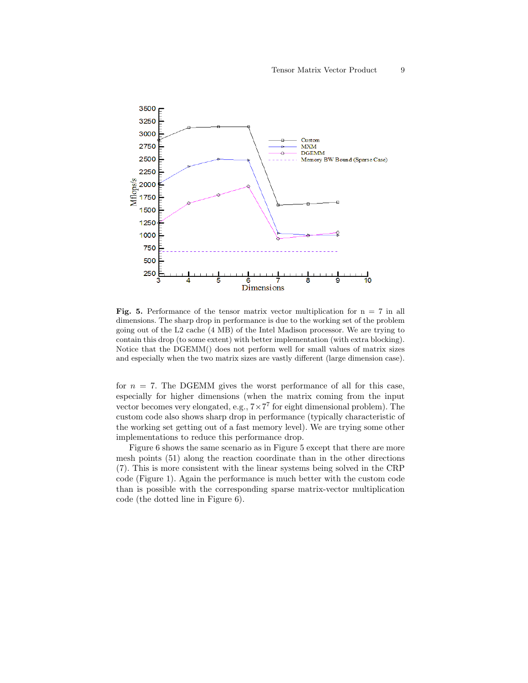

**Fig. 5.** Performance of the tensor matrix vector multiplication for  $n = 7$  in all dimensions. The sharp drop in performance is due to the working set of the problem going out of the L2 cache (4 MB) of the Intel Madison processor. We are trying to contain this drop (to some extent) with better implementation (with extra blocking). Notice that the DGEMM() does not perform well for small values of matrix sizes and especially when the two matrix sizes are vastly different (large dimension case).

for  $n = 7$ . The DGEMM gives the worst performance of all for this case, especially for higher dimensions (when the matrix coming from the input vector becomes very elongated, e.g.,  $7 \times 7^7$  for eight dimensional problem). The custom code also shows sharp drop in performance (typically characteristic of the working set getting out of a fast memory level). We are trying some other implementations to reduce this performance drop.

Figure 6 shows the same scenario as in Figure 5 except that there are more mesh points (51) along the reaction coordinate than in the other directions (7). This is more consistent with the linear systems being solved in the CRP code (Figure 1). Again the performance is much better with the custom code than is possible with the corresponding sparse matrix-vector multiplication code (the dotted line in Figure 6).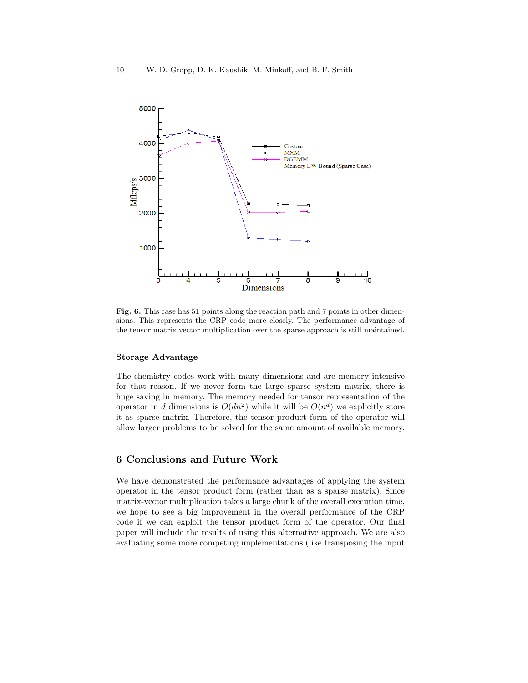

Fig. 6. This case has 51 points along the reaction path and 7 points in other dimensions. This represents the CRP code more closely. The performance advantage of the tensor matrix vector multiplication over the sparse approach is still maintained.

#### Storage Advantage

The chemistry codes work with many dimensions and are memory intensive for that reason. If we never form the large sparse system matrix, there is huge saving in memory. The memory needed for tensor representation of the operator in d dimensions is  $O(dn^2)$  while it will be  $O(n^d)$  we explicitly store it as sparse matrix. Therefore, the tensor product form of the operator will allow larger problems to be solved for the same amount of available memory.

# 6 Conclusions and Future Work

We have demonstrated the performance advantages of applying the system operator in the tensor product form (rather than as a sparse matrix). Since matrix-vector multiplication takes a large chunk of the overall execution time, we hope to see a big improvement in the overall performance of the CRP code if we can exploit the tensor product form of the operator. Our final paper will include the results of using this alternative approach. We are also evaluating some more competing implementations (like transposing the input